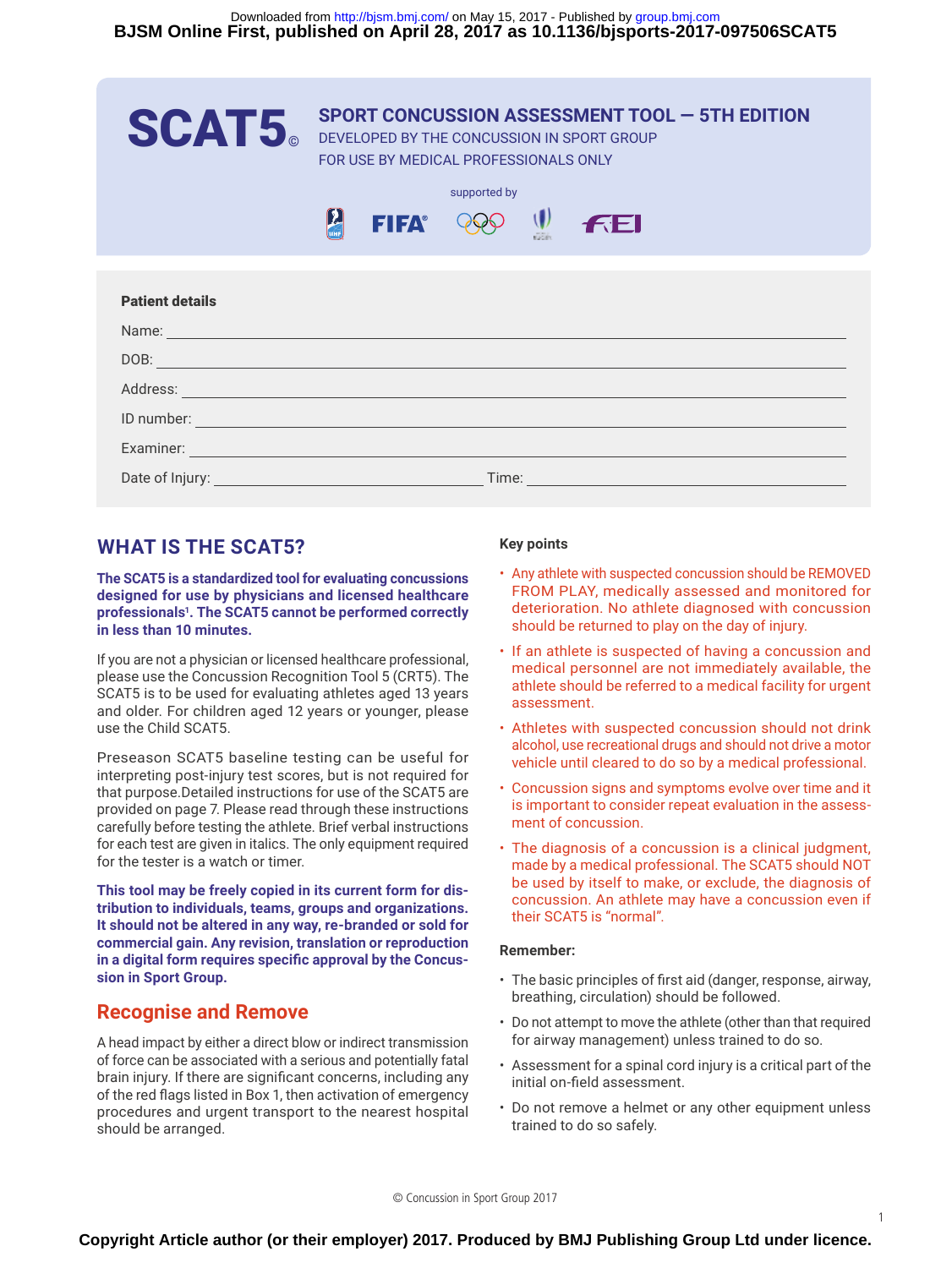**BJSM Online First, published on April 28, 2017 as 10.1136/bjsports-2017-097506SCAT5** Downloaded from<http://bjsm.bmj.com/>on May 15, 2017 - Published by [group.bmj.com](http://group.bmj.com)

| <b>SCAT5</b>                                                                                                                                                                                                                         |                          | <b>SPORT CONCUSSION ASSESSMENT TOOL - 5TH EDITION</b><br>DEVELOPED BY THE CONCUSSION IN SPORT GROUP<br>FOR USE BY MEDICAL PROFESSIONALS ONLY |              |                                                                                                                                                                                                                                      |  |  |  |  |  |
|--------------------------------------------------------------------------------------------------------------------------------------------------------------------------------------------------------------------------------------|--------------------------|----------------------------------------------------------------------------------------------------------------------------------------------|--------------|--------------------------------------------------------------------------------------------------------------------------------------------------------------------------------------------------------------------------------------|--|--|--|--|--|
|                                                                                                                                                                                                                                      |                          | supported by                                                                                                                                 |              |                                                                                                                                                                                                                                      |  |  |  |  |  |
|                                                                                                                                                                                                                                      | $\bf{E}$<br><b>FIFA®</b> |                                                                                                                                              | $\mathbf{U}$ | F <sub>E</sub>                                                                                                                                                                                                                       |  |  |  |  |  |
|                                                                                                                                                                                                                                      |                          |                                                                                                                                              |              |                                                                                                                                                                                                                                      |  |  |  |  |  |
| <b>Patient details</b>                                                                                                                                                                                                               |                          |                                                                                                                                              |              |                                                                                                                                                                                                                                      |  |  |  |  |  |
| Name: Name: Name: Name: Name: Name: Name: Name: Name: Name: Name: Name: Name: Name: Name: Name: Name: Name: Name: Name: Name: Name: Name: Name: Name: Name: Name: Name: Name: Name: Name: Name: Name: Name: Name: Name: Name:        |                          |                                                                                                                                              |              |                                                                                                                                                                                                                                      |  |  |  |  |  |
|                                                                                                                                                                                                                                      |                          |                                                                                                                                              |              | DOB: New York State Contract of the Contract of the Contract of the Contract of the Contract of the Contract of the Contract of the Contract of the Contract of the Contract of the Contract of the Contract of the Contract o       |  |  |  |  |  |
|                                                                                                                                                                                                                                      |                          |                                                                                                                                              |              |                                                                                                                                                                                                                                      |  |  |  |  |  |
|                                                                                                                                                                                                                                      |                          |                                                                                                                                              |              | ID number: <u>and the contract of the contract of the contract of the contract of the contract of the contract of the contract of the contract of the contract of the contract of the contract of the contract of the contract o</u> |  |  |  |  |  |
| Examiner: examiner:                                                                                                                                                                                                                  |                          |                                                                                                                                              |              |                                                                                                                                                                                                                                      |  |  |  |  |  |
| Date of Injury: <u>contract the contract of the contract of the contract of the contract of the contract of the contract of the contract of the contract of the contract of the contract of the contract of the contract of the </u> |                          |                                                                                                                                              |              | Time: with the contract of the contract of the contract of the contract of the contract of the contract of the                                                                                                                       |  |  |  |  |  |

# **WHAT IS THE SCAT5?**

**The SCAT5 is a standardized tool for evaluating concussions designed for use by physicians and licensed healthcare professionals1 . The SCAT5 cannot be performed correctly in less than 10 minutes.**

If you are not a physician or licensed healthcare professional, please use the Concussion Recognition Tool 5 (CRT5). The SCAT5 is to be used for evaluating athletes aged 13 years and older. For children aged 12 years or younger, please use the Child SCAT5.

Preseason SCAT5 baseline testing can be useful for interpreting post-injury test scores, but is not required for that purpose.Detailed instructions for use of the SCAT5 are provided on page 7. Please read through these instructions carefully before testing the athlete. Brief verbal instructions for each test are given in italics. The only equipment required for the tester is a watch or timer.

**This tool may be freely copied in its current form for distribution to individuals, teams, groups and organizations. It should not be altered in any way, re-branded or sold for commercial gain. Any revision, translation or reproduction in a digital form requires specific approval by the Concussion in Sport Group.**

# **Recognise and Remove**

A head impact by either a direct blow or indirect transmission of force can be associated with a serious and potentially fatal brain injury. If there are significant concerns, including any of the red flags listed in Box 1, then activation of emergency procedures and urgent transport to the nearest hospital should be arranged.

## **Key points**

- Any athlete with suspected concussion should be REMOVED FROM PLAY, medically assessed and monitored for deterioration. No athlete diagnosed with concussion should be returned to play on the day of injury.
- If an athlete is suspected of having a concussion and medical personnel are not immediately available, the athlete should be referred to a medical facility for urgent assessment.
- Athletes with suspected concussion should not drink alcohol, use recreational drugs and should not drive a motor vehicle until cleared to do so by a medical professional.
- Concussion signs and symptoms evolve over time and it is important to consider repeat evaluation in the assessment of concussion.
- The diagnosis of a concussion is a clinical judgment, made by a medical professional. The SCAT5 should NOT be used by itself to make, or exclude, the diagnosis of concussion. An athlete may have a concussion even if their SCAT5 is "normal".

## **Remember:**

- The basic principles of first aid (danger, response, airway, breathing, circulation) should be followed.
- Do not attempt to move the athlete (other than that required for airway management) unless trained to do so.
- Assessment for a spinal cord injury is a critical part of the initial on-field assessment.
- Do not remove a helmet or any other equipment unless trained to do so safely.

1

© Concussion in Sport Group 2017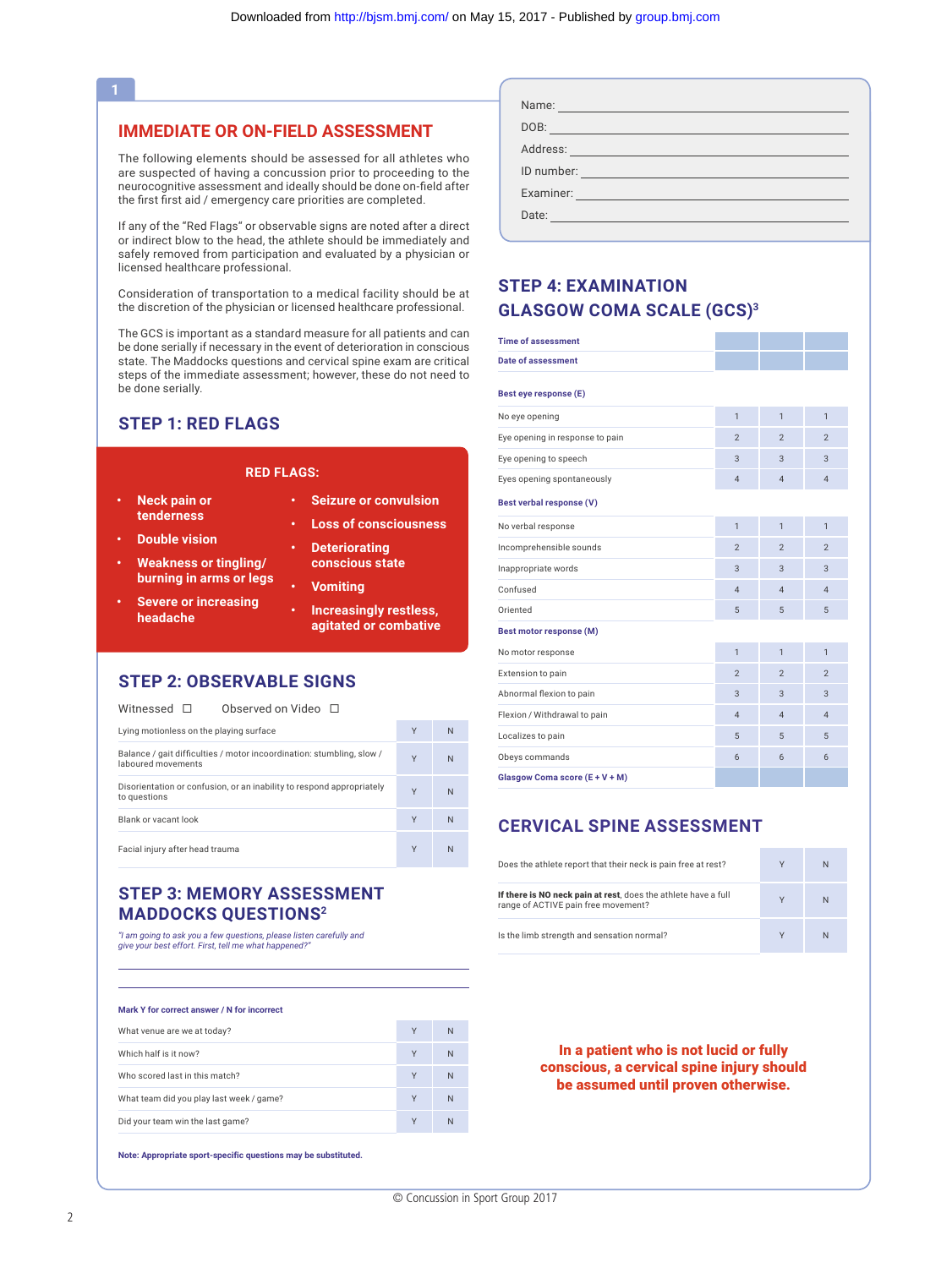## **IMMEDIATE OR ON-FIELD ASSESSMENT**

The following elements should be assessed for all athletes who are suspected of having a concussion prior to proceeding to the neurocognitive assessment and ideally should be done on-field after the first first aid / emergency care priorities are completed.

If any of the "Red Flags" or observable signs are noted after a direct or indirect blow to the head, the athlete should be immediately and safely removed from participation and evaluated by a physician or licensed healthcare professional.

Consideration of transportation to a medical facility should be at the discretion of the physician or licensed healthcare professional.

The GCS is important as a standard measure for all patients and can be done serially if necessary in the event of deterioration in conscious state. The Maddocks questions and cervical spine exam are critical steps of the immediate assessment; however, these do not need to be done serially.

# **STEP 1: RED FLAGS**

## **RED FLAGS:**

- **Neck pain or tenderness**
- **Double vision**

**headache**

- **Weakness or tingling/ burning in arms or legs**
	- **Severe or increasing • Vomiting**
		- **Increasingly restless, agitated or combative**

**• Deteriorating conscious state**

**• Seizure or convulsion • Loss of consciousness**

## **STEP 2: OBSERVABLE SIGNS**

| Observed on Video □<br>Witnessed $\Box$                                                     |   |    |
|---------------------------------------------------------------------------------------------|---|----|
| Lying motionless on the playing surface                                                     | Y | N. |
| Balance / gait difficulties / motor incoordination: stumbling, slow /<br>laboured movements | Y | N  |
| Disorientation or confusion, or an inability to respond appropriately<br>to questions       | Y | N. |
| Blank or vacant look                                                                        | Y | N  |
| Facial injury after head trauma                                                             | Y | N  |

# **STEP 3: MEMORY ASSESSMENT MADDOCKS QUESTIONS2**

*"I am going to ask you a few questions, please listen carefully and give your best effort. First, tell me what happened?"*

#### **Mark Y for correct answer / N for incorrect**

| What venue are we at today?              | Y | N |
|------------------------------------------|---|---|
| Which half is it now?                    | Y | N |
| Who scored last in this match?           | Y | N |
| What team did you play last week / game? | Υ | N |
| Did your team win the last game?         | V | N |

**Note: Appropriate sport-specific questions may be substituted.**

| Name:<br><u> 1989 - Johann Barnett, film fan it ferstjer fan it ferstjer fan it ferstjer fan it ferstjer fan it ferstjer</u> |
|------------------------------------------------------------------------------------------------------------------------------|
| DOB:                                                                                                                         |
|                                                                                                                              |
|                                                                                                                              |
| Examiner:                                                                                                                    |
| Date:                                                                                                                        |

# **STEP 4: EXAMINATION GLASGOW COMA SCALE (GCS)3**

| <b>Time of assessment</b>       |                |                |                 |
|---------------------------------|----------------|----------------|-----------------|
| Date of assessment              |                |                |                 |
| Best eye response (E)           |                |                |                 |
| No eye opening                  | $\mathbf{1}$   | $\overline{1}$ | $\mathbf{1}$    |
| Eye opening in response to pain | $\mathfrak{p}$ | $\mathfrak{D}$ | $\mathfrak{D}$  |
| Eye opening to speech           | 3              | 3              | 3               |
| Eyes opening spontaneously      | $\overline{4}$ | $\overline{4}$ | $\overline{4}$  |
| Best verbal response (V)        |                |                |                 |
| No verbal response              | $\mathbf{1}$   | $\mathbf{1}$   | $\mathbf{1}$    |
| Incomprehensible sounds         | $\mathfrak{p}$ | $\mathfrak{D}$ | $\mathfrak{D}$  |
| Inappropriate words             | 3              | 3              | 3               |
| Confused                        | $\overline{4}$ | $\overline{4}$ | $\overline{4}$  |
| Oriented                        | 5              | 5              | 5               |
| <b>Best motor response (M)</b>  |                |                |                 |
| No motor response               | $\mathbf{1}$   | 1              | $\mathbf{1}$    |
| Extension to pain               | $\overline{2}$ | $\overline{2}$ | $\overline{2}$  |
| Abnormal flexion to pain        | 3              | 3              | 3               |
| Flexion / Withdrawal to pain    | $\overline{4}$ | $\overline{4}$ | $\overline{4}$  |
| Localizes to pain               | $\overline{5}$ | 5              | $5\overline{5}$ |
| Obeys commands                  | 6              | 6              | 6               |
| Glasgow Coma score (E + V + M)  |                |                |                 |

# **CERVICAL SPINE ASSESSMENT**

| Does the athlete report that their neck is pain free at rest?                                         |   | N |
|-------------------------------------------------------------------------------------------------------|---|---|
| If there is NO neck pain at rest, does the athlete have a full<br>range of ACTIVE pain free movement? | V | N |
| Is the limb strength and sensation normal?                                                            |   | N |

## In a patient who is not lucid or fully conscious, a cervical spine injury should be assumed until proven otherwise.

© Concussion in Sport Group 2017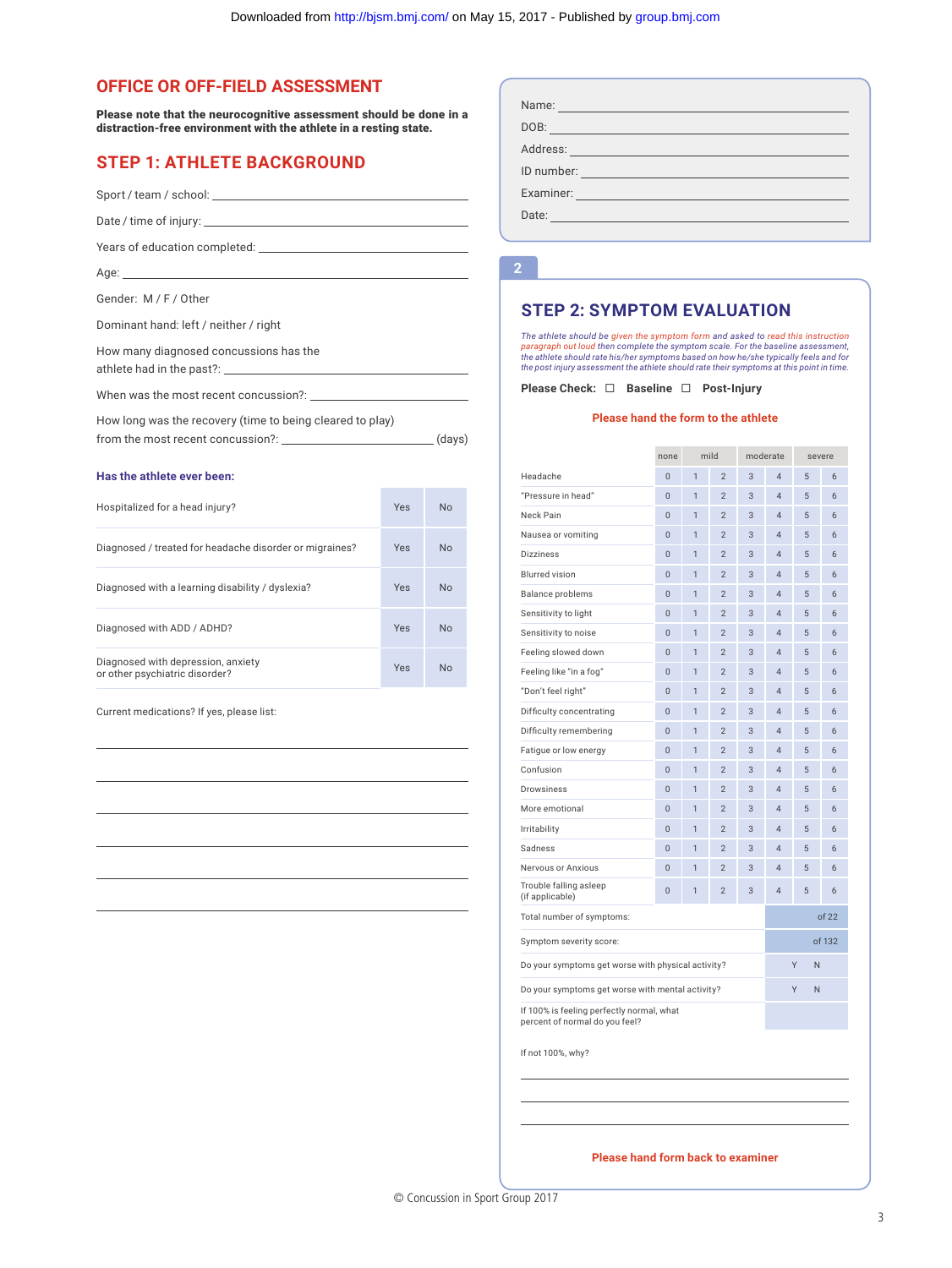## **OFFICE OR OFF-FIELD ASSESSMENT**

Please note that the neurocognitive assessment should be done in a distraction-free environment with the athlete in a resting state.

## **STEP 1: ATHLETE BACKGROUND**

Sport / team / school:

Date / time of injury: \_

Years of education completed:

Age:

Gender: M / F / Other

Dominant hand: left / neither / right

How many diagnosed concussions has the

athlete had in the past?:

When was the most recent concussion?: \_\_

How long was the recovery (time to being cleared to play)

from the most recent concussion?: (days)

## **Has the athlete ever been:**

| Hospitalized for a head injury?                                      | Yes | <b>No</b> |
|----------------------------------------------------------------------|-----|-----------|
| Diagnosed / treated for headache disorder or migraines?              | Yes | <b>No</b> |
| Diagnosed with a learning disability / dyslexia?                     | Yes | <b>No</b> |
| Diagnosed with ADD / ADHD?                                           | Yes | <b>No</b> |
| Diagnosed with depression, anxiety<br>or other psychiatric disorder? | Yes | <b>No</b> |

Current medications? If yes, please list:

| Name:                                                          |
|----------------------------------------------------------------|
| DOB:                                                           |
| Address:<br><u> 1989 - Jan Stein Stein, fransk politiker (</u> |
| ID number:                                                     |
| Examiner:                                                      |
| Date:                                                          |

## **STEP 2: SYMPTOM EVALUATION**

The athlete should be given the symptom form and asked to read this instruction<br>paragraph out loud then complete the symptom scale. For the baseline assessment, *the athlete should rate his/her symptoms based on how he/she typically feels and for the post injury assessment the athlete should rate their symptoms at this point in time.* 

**Please Check:** □ Baseline □ Post-Injury

### **Please hand the form to the athlete**

|                                                                             | none           |                | mild           | moderate |                | severe |        |
|-----------------------------------------------------------------------------|----------------|----------------|----------------|----------|----------------|--------|--------|
| Headache                                                                    | $\overline{0}$ | $\overline{1}$ | $\overline{2}$ | 3        | $\overline{4}$ | 5      | 6      |
| "Pressure in head"                                                          | $\overline{0}$ | $\overline{1}$ | $\overline{2}$ | 3        | $\overline{4}$ | 5      | 6      |
| Neck Pain                                                                   | $\overline{0}$ | $\overline{1}$ | $\overline{2}$ | 3        | $\overline{4}$ | 5      | 6      |
| Nausea or vomiting                                                          | $\overline{0}$ | 1              | $\overline{2}$ | 3        | $\overline{4}$ | 5      | 6      |
| <b>Dizziness</b>                                                            | $\Omega$       | 1              | $\overline{2}$ | 3        | $\overline{4}$ | 5      | 6      |
| <b>Blurred vision</b>                                                       | $\overline{0}$ | 1              | $\overline{2}$ | 3        | $\overline{4}$ | 5      | 6      |
| <b>Balance problems</b>                                                     | $\overline{0}$ | $\overline{1}$ | $\overline{2}$ | 3        | $\overline{4}$ | 5      | 6      |
| Sensitivity to light                                                        | $\overline{0}$ | 1              | $\overline{2}$ | 3        | $\overline{4}$ | 5      | 6      |
| Sensitivity to noise                                                        | 0              | 1              | $\overline{2}$ | 3        | $\overline{4}$ | 5      | 6      |
| Feeling slowed down                                                         | $\overline{0}$ | $\overline{1}$ | $\overline{2}$ | 3        | $\overline{4}$ | 5      | 6      |
| Feeling like "in a fog"                                                     | 0              | $\mathbf{1}$   | $\overline{2}$ | 3        | $\overline{4}$ | 5      | 6      |
| "Don't feel right"                                                          | 0              | $\mathbf{1}$   | $\overline{2}$ | 3        | $\overline{4}$ | 5      | 6      |
| Difficulty concentrating                                                    | $\Omega$       | $\mathbf{1}$   | $\overline{a}$ | 3        | $\overline{4}$ | 5      | 6      |
| Difficulty remembering                                                      | 0              | $\overline{1}$ | $\overline{2}$ | 3        | $\overline{4}$ | 5      | 6      |
| Fatigue or low energy                                                       | 0              | $\mathbf{1}$   | $\overline{2}$ | 3        | $\overline{4}$ | 5      | 6      |
| Confusion                                                                   | 0              | $\mathbf{1}$   | $\mathfrak{p}$ | 3        | $\overline{4}$ | 5      | 6      |
| Drowsiness                                                                  | $\Omega$       | $\mathbf{1}$   | $\overline{2}$ | 3        | $\overline{4}$ | 5      | 6      |
| More emotional                                                              | $\overline{0}$ | $\overline{1}$ | $\overline{2}$ | 3        | $\overline{4}$ | 5      | 6      |
| Irritability                                                                | $\overline{0}$ | $\overline{1}$ | $\overline{2}$ | 3        | $\overline{4}$ | 5      | 6      |
| Sadness                                                                     | 0              | $\overline{1}$ | $\overline{2}$ | 3        | $\overline{4}$ | 5      | 6      |
| Nervous or Anxious                                                          | 0              | 1              | $\overline{2}$ | 3        | $\overline{4}$ | 5      | 6      |
| Trouble falling asleep<br>(if applicable)                                   | $\overline{0}$ | 1              | $\overline{2}$ | 3        | $\overline{4}$ | 5      | 6      |
| Total number of symptoms:                                                   |                |                |                |          |                |        | of 22  |
| Symptom severity score:                                                     |                |                |                |          |                |        | of 132 |
| Do your symptoms get worse with physical activity?                          |                |                |                |          | Y<br>N         |        |        |
| Do your symptoms get worse with mental activity?                            |                |                |                |          |                | Y<br>N |        |
| If 100% is feeling perfectly normal, what<br>percent of normal do you feel? |                |                |                |          |                |        |        |

If not 100%, why?

**Please hand form back to examiner**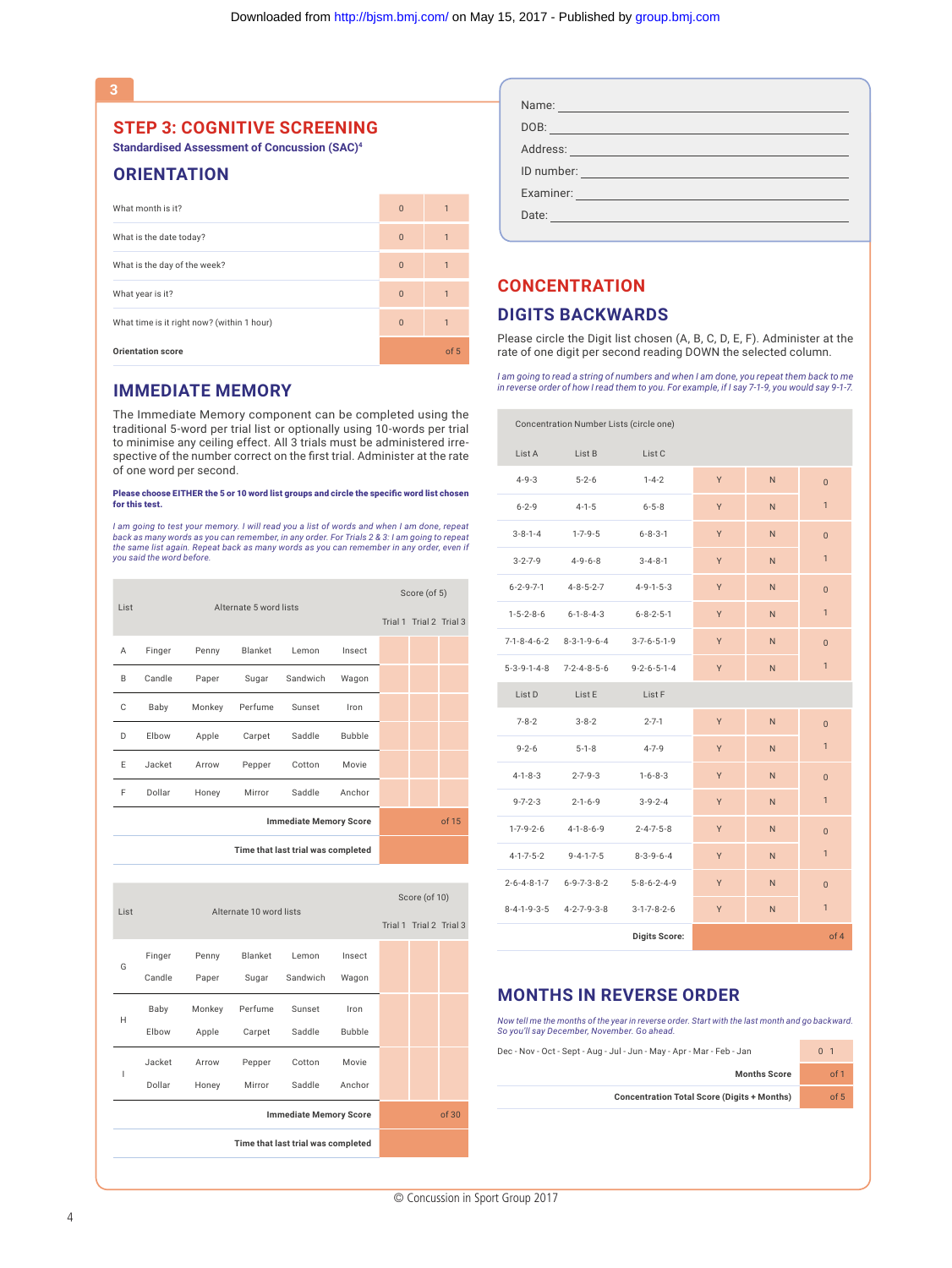**STEP 3: COGNITIVE SCREENING**

**Standardised Assessment of Concussion (SAC)4**

# **ORIENTATION**

| What month is it?                          | $\Omega$ | 1    |
|--------------------------------------------|----------|------|
| What is the date today?                    | $\Omega$ | 1    |
| What is the day of the week?               | $\Omega$ | 1    |
| What year is it?                           | $\Omega$ |      |
| What time is it right now? (within 1 hour) | $\Omega$ |      |
| <b>Orientation score</b>                   |          | of 5 |

# **IMMEDIATE MEMORY**

The Immediate Memory component can be completed using the traditional 5-word per trial list or optionally using 10-words per trial to minimise any ceiling effect. All 3 trials must be administered irrespective of the number correct on the first trial. Administer at the rate of one word per second.

#### Please choose EITHER the 5 or 10 word list groups and circle the specific word list chosen for this test.

*I am going to test your memory. I will read you a list of words and when I am done, repeat back as many words as you can remember, in any order. For Trials 2 & 3: I am going to repeat the same list again. Repeat back as many words as you can remember in any order, even if you said the word before.*

|   | List<br>Alternate 5 word lists |        |                         |                                    |               |  |  | Score (of 5) |
|---|--------------------------------|--------|-------------------------|------------------------------------|---------------|--|--|--------------|
|   |                                |        | Trial 1 Trial 2 Trial 3 |                                    |               |  |  |              |
| Α | Finger                         | Penny  | Blanket                 | Lemon                              | Insect        |  |  |              |
| B | Candle                         | Paper  | Sugar                   | Sandwich                           | Wagon         |  |  |              |
| C | Baby                           | Monkey | Perfume                 | Sunset                             | Iron          |  |  |              |
| D | Elbow                          | Apple  | Carpet                  | Saddle                             | <b>Bubble</b> |  |  |              |
| E | Jacket                         | Arrow  | Pepper                  | Cotton                             | Movie         |  |  |              |
| F | Dollar                         | Honey  | Mirror                  | Saddle                             | Anchor        |  |  |              |
|   |                                |        |                         | <b>Immediate Memory Score</b>      |               |  |  | of 15        |
|   |                                |        |                         | Time that last trial was completed |               |  |  |              |

| List                               |                               |        | Score (of 10)           |          |               |  |                         |       |
|------------------------------------|-------------------------------|--------|-------------------------|----------|---------------|--|-------------------------|-------|
|                                    |                               |        | Alternate 10 word lists |          |               |  | Trial 1 Trial 2 Trial 3 |       |
| G                                  | Finger                        | Penny  | Blanket                 | Lemon    | Insect        |  |                         |       |
|                                    | Candle                        | Paper  | Sugar                   | Sandwich | Wagon         |  |                         |       |
| Н                                  | Baby                          | Monkey | Perfume                 | Sunset   | Iron          |  |                         |       |
|                                    | Elbow                         | Apple  | Carpet                  | Saddle   | <b>Bubble</b> |  |                         |       |
| ı                                  | Jacket                        | Arrow  | Pepper                  | Cotton   | Movie         |  |                         |       |
|                                    | Dollar                        | Honey  | Mirror                  | Saddle   | Anchor        |  |                         |       |
|                                    | <b>Immediate Memory Score</b> |        |                         |          |               |  |                         | of 30 |
| Time that last trial was completed |                               |        |                         |          |               |  |                         |       |

| Name:      |                                                                            |                                                                                           |  |
|------------|----------------------------------------------------------------------------|-------------------------------------------------------------------------------------------|--|
| DOB:       |                                                                            |                                                                                           |  |
| Address:   |                                                                            | the control of the control of the control of the control of the control of the control of |  |
| ID number: |                                                                            |                                                                                           |  |
| Examiner:  |                                                                            |                                                                                           |  |
| Date:      | the control of the control of the control of the control of the control of |                                                                                           |  |

# **CONCENTRATION**

# **DIGITS BACKWARDS**

Please circle the Digit list chosen (A, B, C, D, E, F). Administer at the rate of one digit per second reading DOWN the selected column.

*I am going to read a string of numbers and when I am done, you repeat them back to me in reverse order of how I read them to you. For example, if I say 7-1-9, you would say 9-1-7.*

| Concentration Number Lists (circle one) |                                       |                         |   |   |                |
|-----------------------------------------|---------------------------------------|-------------------------|---|---|----------------|
| List A                                  | List B                                | List <sub>C</sub>       |   |   |                |
| $4 - 9 - 3$                             | $5 - 2 - 6$                           | $1 - 4 - 2$             | Y | N | $\overline{0}$ |
| $6 - 2 - 9$                             | $4 - 1 - 5$                           | $6 - 5 - 8$             | Y | N | $\mathbf{1}$   |
| $3 - 8 - 1 - 4$                         | $1 - 7 - 9 - 5$                       | $6 - 8 - 3 - 1$         | Y | N | $\Omega$       |
| $3 - 2 - 7 - 9$                         | $4 - 9 - 6 - 8$                       | $3 - 4 - 8 - 1$         | Y | N | $\mathbf{1}$   |
| $6 - 2 - 9 - 7 - 1$                     | $4 - 8 - 5 - 2 - 7$                   | $4 - 9 - 1 - 5 - 3$     | Y | N | $\Omega$       |
| $1 - 5 - 2 - 8 - 6$                     | $6 - 1 - 8 - 4 - 3$                   | $6 - 8 - 2 - 5 - 1$     | Y | N | $\mathbf{1}$   |
|                                         | 7-1-8-4-6-2  8-3-1-9-6-4  3-7-6-5-1-9 |                         | Y | N | $\Omega$       |
| $5 - 3 - 9 - 1 - 4 - 8$                 | 7-2-4-8-5-6                           | $9 - 2 - 6 - 5 - 1 - 4$ | Y | N | $\mathbf{1}$   |
| List D                                  | List E                                | List F                  |   |   |                |
| $7 - 8 - 2$                             | $3 - 8 - 2$                           | $2 - 7 - 1$             | Y | N | $\Omega$       |
| $9 - 2 - 6$                             | $5 - 1 - 8$                           | $4 - 7 - 9$             | Y | N | $\mathbf{1}$   |
| $4 - 1 - 8 - 3$                         | $2 - 7 - 9 - 3$                       | $1 - 6 - 8 - 3$         | Y | N | $\Omega$       |
| $9 - 7 - 2 - 3$                         | $2 - 1 - 6 - 9$                       | $3 - 9 - 2 - 4$         | Y | N | $\mathbf{1}$   |
| $1 - 7 - 9 - 2 - 6$                     | $4 - 1 - 8 - 6 - 9$                   | $2 - 4 - 7 - 5 - 8$     | Y | N | $\overline{0}$ |
| $4 - 1 - 7 - 5 - 2$                     | $9 - 4 - 1 - 7 - 5$                   | $8 - 3 - 9 - 6 - 4$     | Y | N | $\mathbf{1}$   |
|                                         | $2 - 6 - 4 - 8 - 1 - 7$ 6-9-7-3-8-2   | $5 - 8 - 6 - 2 - 4 - 9$ | Y | N | $\Omega$       |
| $8 - 4 - 1 - 9 - 3 - 5$                 | 4-2-7-9-3-8                           | $3 - 1 - 7 - 8 - 2 - 6$ | Y | N | $\mathbf{1}$   |
|                                         |                                       | <b>Digits Score:</b>    |   |   | of 4           |

# **MONTHS IN REVERSE ORDER**

*Now tell me the months of the year in reverse order. Start with the last month and go backward. So you'll say December, November. Go ahead.*

| Dec - Nov - Oct - Sept - Aug - Jul - Jun - May - Apr - Mar - Feb - Jan |      |
|------------------------------------------------------------------------|------|
| <b>Months Score</b>                                                    | of 1 |
| <b>Concentration Total Score (Digits + Months)</b>                     | of 5 |
|                                                                        |      |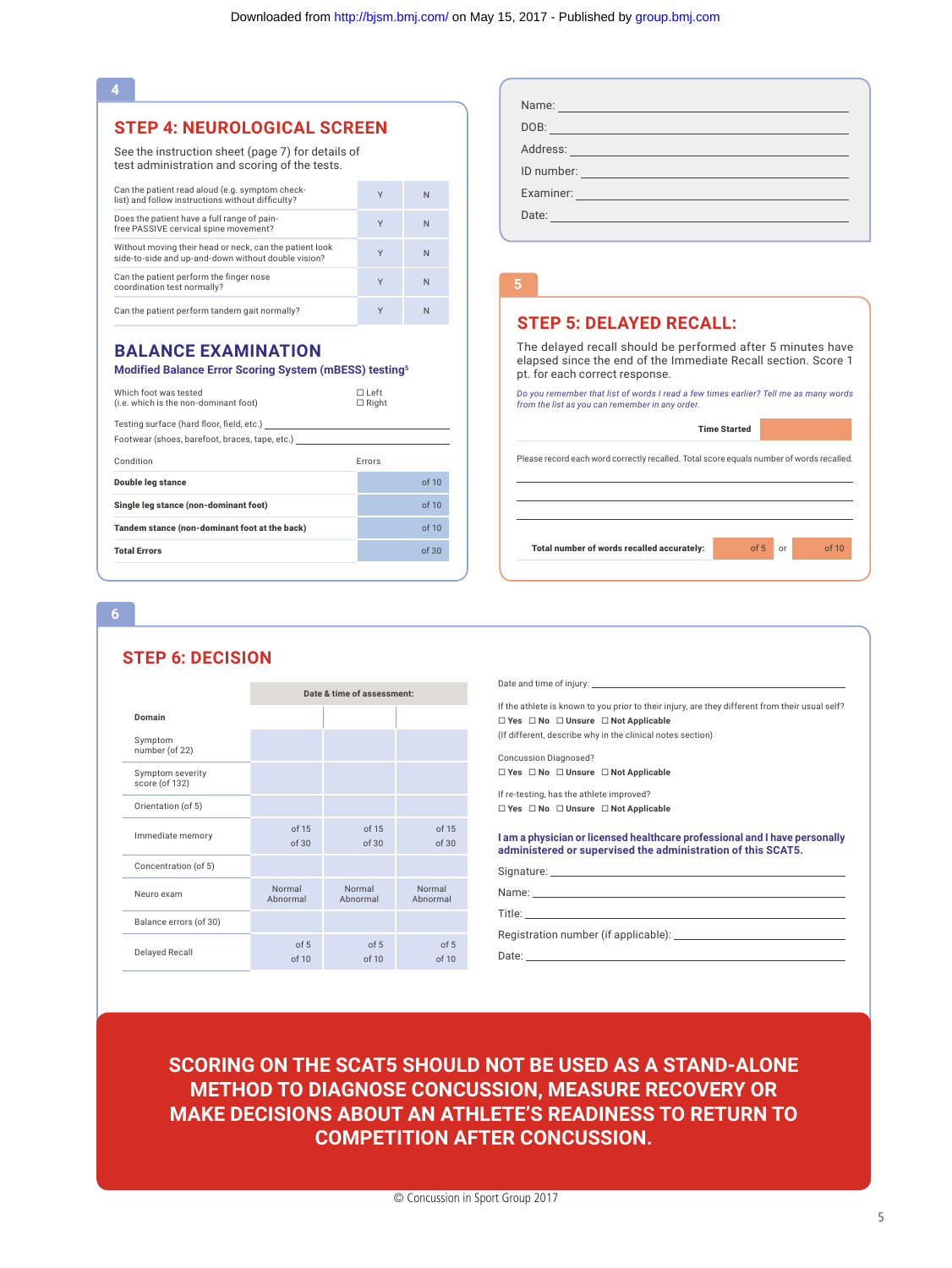#### **4**

## **STEP 4: NEUROLOGICAL SCREEN**

See the instruction sheet (page 7) for details of test administration and scoring of the tests.

| Can the patient read aloud (e.g. symptom check-<br>list) and follow instructions without difficulty?           | Υ | N |
|----------------------------------------------------------------------------------------------------------------|---|---|
| Does the patient have a full range of pain-<br>free PASSIVE cervical spine movement?                           | v | N |
| Without moving their head or neck, can the patient look<br>side-to-side and up-and-down without double vision? | v | N |
| Can the patient perform the finger nose<br>coordination test normally?                                         | v | N |
| Can the patient perform tandem gait normally?                                                                  | v | N |

## **BALANCE EXAMINATION**

## **Modified Balance Error Scoring System (mBESS) testing5**

| Which foot was tested<br>(i.e. which is the non-dominant foot)                              | □ Left<br>$\Box$ Right |       |
|---------------------------------------------------------------------------------------------|------------------------|-------|
| Testing surface (hard floor, field, etc.)<br>Footwear (shoes, barefoot, braces, tape, etc.) |                        |       |
| Condition                                                                                   | Errors                 |       |
| <b>Double leg stance</b>                                                                    |                        | of 10 |
| Single leg stance (non-dominant foot)                                                       |                        | of 10 |
| Tandem stance (non-dominant foot at the back)                                               |                        | of 10 |
| <b>Total Errors</b>                                                                         |                        | of 30 |
|                                                                                             |                        |       |

# Name: DOB: Address: ID number: Examiner: William School and Communication of the Communication of the Communication of the Communication of the Communication of the Communication of the Communication of the Communication of the Communication of the Comm Date:

## **STEP 5: DELAYED RECALL:**

The delayed recall should be performed after 5 minutes have elapsed since the end of the Immediate Recall section. Score 1 pt. for each correct response.

*Do you remember that list of words I read a few times earlier? Tell me as many words from the list as you can remember in any order.*

|                                                                                          | <b>Time Started</b> |      |       |
|------------------------------------------------------------------------------------------|---------------------|------|-------|
| Please record each word correctly recalled. Total score equals number of words recalled. |                     |      |       |
|                                                                                          |                     |      |       |
|                                                                                          |                     |      |       |
| Total number of words recalled accurately:                                               | of 5                | l or | of 10 |

# **STEP 6: DECISION**

|                                    | Date & time of assessment: |                    |                    |
|------------------------------------|----------------------------|--------------------|--------------------|
| Domain                             |                            |                    |                    |
| Symptom<br>number (of 22)          |                            |                    |                    |
| Symptom severity<br>score (of 132) |                            |                    |                    |
| Orientation (of 5)                 |                            |                    |                    |
| Immediate memory                   | of 15<br>of 30             | of 15<br>of 30     | of 15<br>of 30     |
| Concentration (of 5)               |                            |                    |                    |
| Neuro exam                         | Normal<br>Abnormal         | Normal<br>Abnormal | Normal<br>Abnormal |
| Balance errors (of 30)             |                            |                    |                    |
| <b>Delayed Recall</b>              | of 5<br>of 10              | of 5<br>of 10      | of 5<br>of 10      |

| If the athlete is known to you prior to their injury, are they different from their usual self?<br>$\Box$ Yes $\Box$ No $\Box$ Unsure $\Box$ Not Applicable<br>(If different, describe why in the clinical notes section) |
|---------------------------------------------------------------------------------------------------------------------------------------------------------------------------------------------------------------------------|
| <b>Concussion Diagnosed?</b><br>$\Box$ Yes $\Box$ No $\Box$ Unsure $\Box$ Not Applicable                                                                                                                                  |
| If re-testing, has the athlete improved?<br>$\Box$ Yes $\Box$ No $\Box$ Unsure $\Box$ Not Applicable                                                                                                                      |
| I am a physician or licensed healthcare professional and I have personally<br>administered or supervised the administration of this SCAT5.                                                                                |
|                                                                                                                                                                                                                           |
|                                                                                                                                                                                                                           |
| Title <sup>.</sup>                                                                                                                                                                                                        |

Registration number (if applicable):

Date:

**SCORING ON THE SCAT5 SHOULD NOT BE USED AS A STAND-ALONE METHOD TO DIAGNOSE CONCUSSION, MEASURE RECOVERY OR MAKE DECISIONS ABOUT AN ATHLETE'S READINESS TO RETURN TO COMPETITION AFTER CONCUSSION.**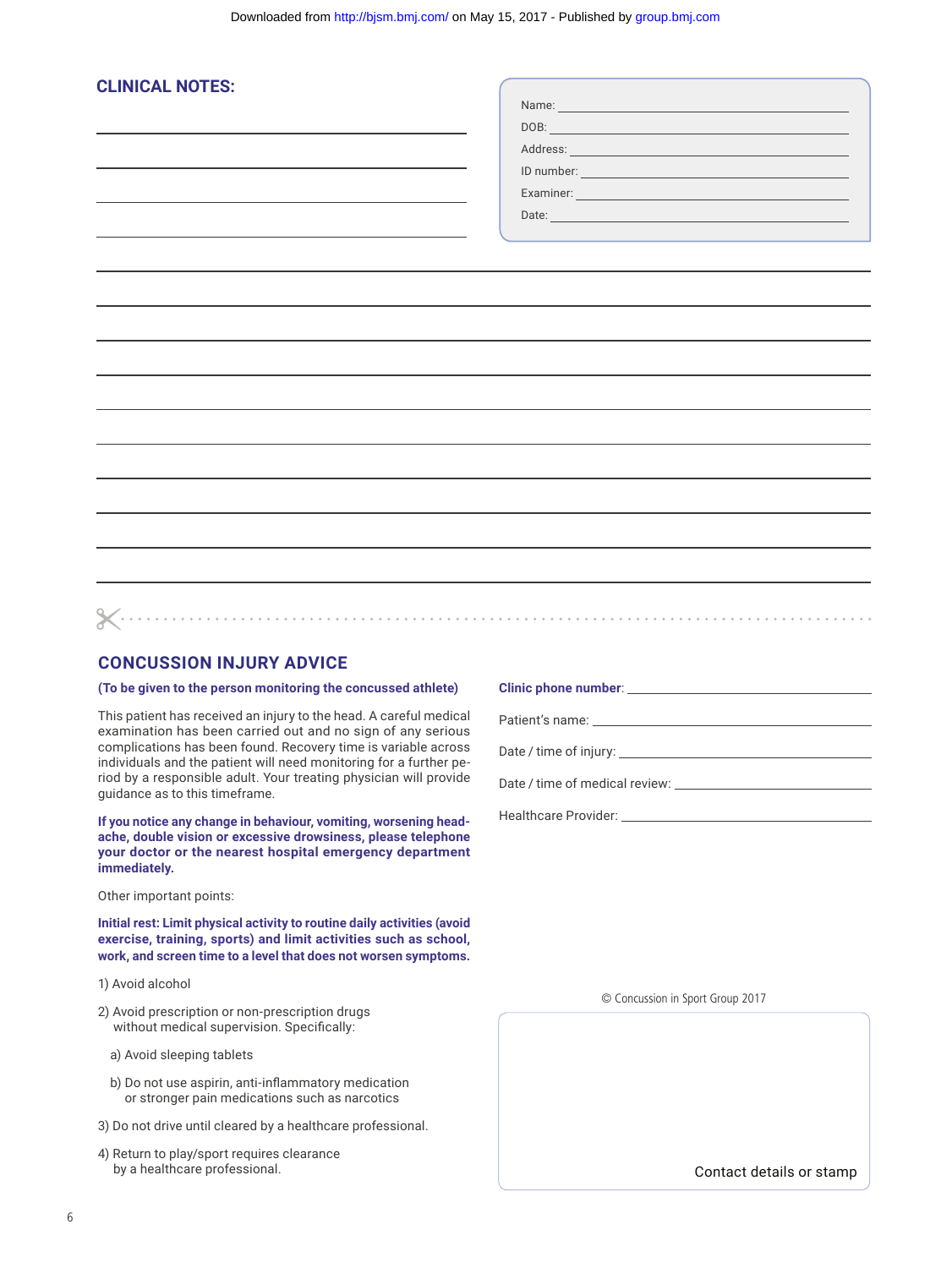| <b>CLINICAL NOTES:</b> |                                                                                                                                                                                                                               |
|------------------------|-------------------------------------------------------------------------------------------------------------------------------------------------------------------------------------------------------------------------------|
|                        | Name: Name: Name: Name: Name: Name: Name: Name: Name: Name: Name: Name: Name: Name: Name: Name: Name: Name: Name: Name: Name: Name: Name: Name: Name: Name: Name: Name: Name: Name: Name: Name: Name: Name: Name: Name: Name: |
|                        |                                                                                                                                                                                                                               |
|                        |                                                                                                                                                                                                                               |
|                        |                                                                                                                                                                                                                               |
|                        |                                                                                                                                                                                                                               |
|                        |                                                                                                                                                                                                                               |
|                        |                                                                                                                                                                                                                               |
|                        |                                                                                                                                                                                                                               |
|                        |                                                                                                                                                                                                                               |
|                        |                                                                                                                                                                                                                               |
|                        |                                                                                                                                                                                                                               |
|                        |                                                                                                                                                                                                                               |
|                        |                                                                                                                                                                                                                               |
|                        |                                                                                                                                                                                                                               |
|                        |                                                                                                                                                                                                                               |
|                        |                                                                                                                                                                                                                               |
|                        |                                                                                                                                                                                                                               |
|                        |                                                                                                                                                                                                                               |
|                        |                                                                                                                                                                                                                               |
|                        |                                                                                                                                                                                                                               |
|                        |                                                                                                                                                                                                                               |
|                        |                                                                                                                                                                                                                               |
|                        |                                                                                                                                                                                                                               |
|                        |                                                                                                                                                                                                                               |
|                        |                                                                                                                                                                                                                               |
|                        |                                                                                                                                                                                                                               |
|                        |                                                                                                                                                                                                                               |
|                        |                                                                                                                                                                                                                               |

# **CONCUSSION INJURY ADVICE**

## **(To be given to the person monitoring the concussed athlete)**

This patient has received an injury to the head. A careful medical examination has been carried out and no sign of any serious complications has been found. Recovery time is variable across individuals and the patient will need monitoring for a further period by a responsible adult. Your treating physician will provide guidance as to this timeframe.

**If you notice any change in behaviour, vomiting, worsening headache, double vision or excessive drowsiness, please telephone your doctor or the nearest hospital emergency department immediately.**

Other important points:

**Initial rest: Limit physical activity to routine daily activities (avoid exercise, training, sports) and limit activities such as school, work, and screen time to a level that does not worsen symptoms.**

- 1) Avoid alcohol
- 2) Avoid prescription or non-prescription drugs without medical supervision. Specifically:
	- a) Avoid sleeping tablets
	- b) Do not use aspirin, anti-inflammatory medication or stronger pain medications such as narcotics
- 3) Do not drive until cleared by a healthcare professional.
- 4) Return to play/sport requires clearance by a healthcare professional.

**Clinic phone number**: Patient's name: Date / time of injury:

Date / time of medical review:

Healthcare Provider:

© Concussion in Sport Group 2017

Contact details or stamp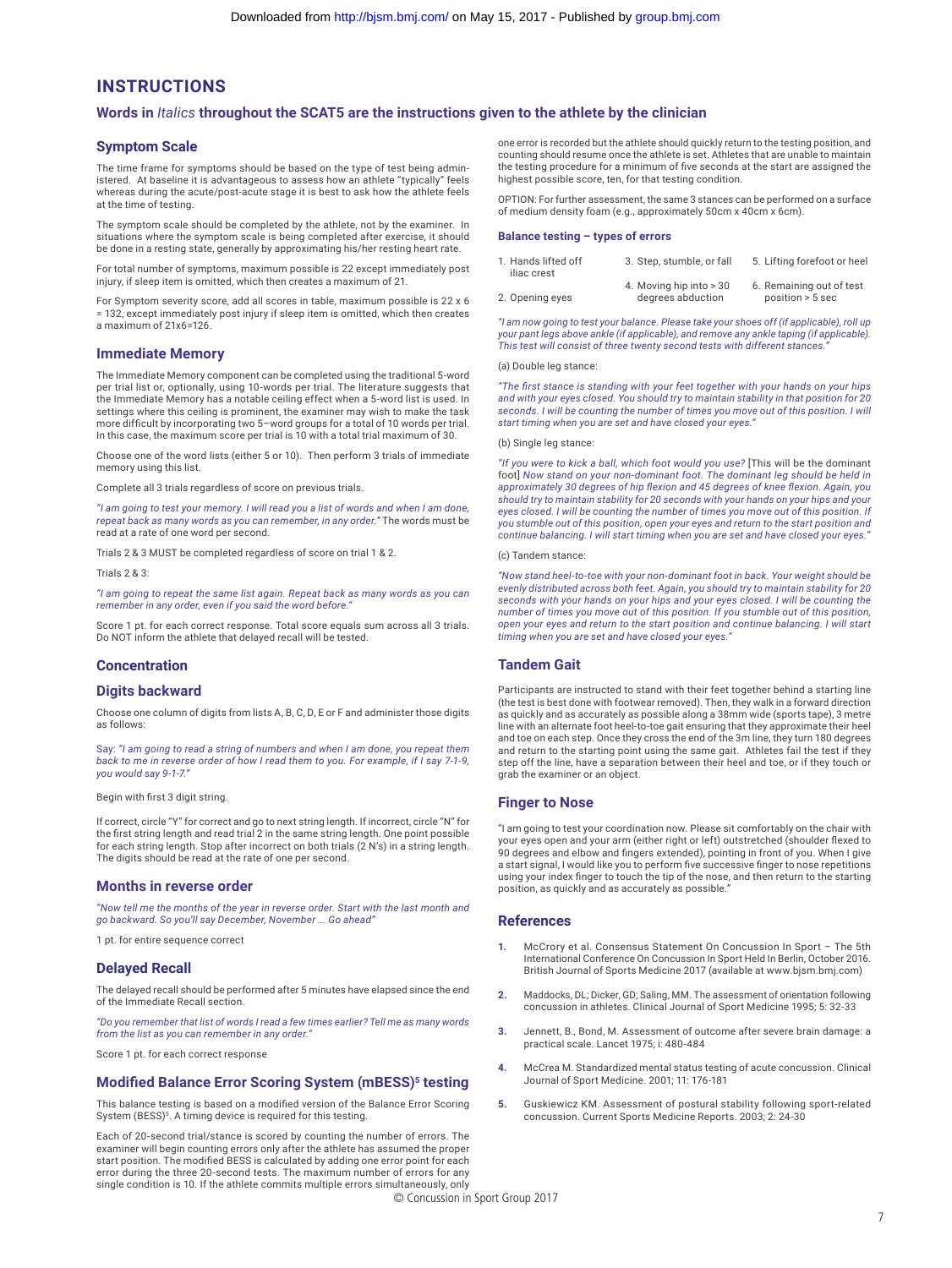## **INSTRUCTIONS**

## **Words in** *Italics* **throughout the SCAT5 are the instructions given to the athlete by the clinician**

### **Symptom Scale**

The time frame for symptoms should be based on the type of test being administered. At baseline it is advantageous to assess how an athlete "typically" feels whereas during the acute/post-acute stage it is best to ask how the athlete feels at the time of testing.

The symptom scale should be completed by the athlete, not by the examiner. In situations where the symptom scale is being completed after exercise, it should be done in a resting state, generally by approximating his/her resting heart rate.

For total number of symptoms, maximum possible is 22 except immediately post injury, if sleep item is omitted, which then creates a maximum of 21.

For Symptom severity score, add all scores in table, maximum possible is 22 x 6 = 132, except immediately post injury if sleep item is omitted, which then creates a maximum of 21x6=126.

## **Immediate Memory**

The Immediate Memory component can be completed using the traditional 5-word per trial list or, optionally, using 10-words per trial. The literature suggests that the Immediate Memory has a notable ceiling effect when a 5-word list is used. In settings where this ceiling is prominent, the examiner may wish to make the task more difficult by incorporating two 5–word groups for a total of 10 words per trial. In this case, the maximum score per trial is 10 with a total trial maximum of 30.

Choose one of the word lists (either 5 or 10). Then perform 3 trials of immediate memory using this list.

Complete all 3 trials regardless of score on previous trials.

*"I am going to test your memory. I will read you a list of words and when I am done, repeat back as many words as you can remember, in any order."* The words must be read at a rate of one word per second.

Trials 2 & 3 MUST be completed regardless of score on trial 1 & 2.

Trials 2 & 3:

*"I am going to repeat the same list again. Repeat back as many words as you can remember in any order, even if you said the word before."*

Score 1 pt. for each correct response. Total score equals sum across all 3 trials. Do NOT inform the athlete that delayed recall will be tested.

#### **Concentration**

## **Digits backward**

Choose one column of digits from lists A, B, C, D, E or F and administer those digits as follows:

Say: *"I am going to read a string of numbers and when I am done, you repeat them back to me in reverse order of how I read them to you. For example, if I say 7-1-9, you would say 9-1-7."* 

Begin with first 3 digit string.

If correct, circle "Y" for correct and go to next string length. If incorrect, circle "N" for the first string length and read trial 2 in the same string length. One point possible for each string length. Stop after incorrect on both trials (2 N's) in a string length. The digits should be read at the rate of one per second.

#### **Months in reverse order**

*"Now tell me the months of the year in reverse order. Start with the last month and go backward. So you'll say December, November ... Go ahead"*

1 pt. for entire sequence correct

### **Delayed Recall**

The delayed recall should be performed after 5 minutes have elapsed since the end of the Immediate Recall section.

*"Do you remember that list of words I read a few times earlier? Tell me as many words from the list as you can remember in any order."* 

Score 1 pt. for each correct response

## **Modified Balance Error Scoring System (mBESS)5 testing**

This balance testing is based on a modified version of the Balance Error Scoring System (BESS)<sup>5</sup>. A timing device is required for this testing.

Each of 20-second trial/stance is scored by counting the number of errors. The examiner will begin counting errors only after the athlete has assumed the proper start position. The modified BESS is calculated by adding one error point for each error during the three 20-second tests. The maximum number of errors for any single condition is 10. If the athlete commits multiple errors simultaneously, only

one error is recorded but the athlete should quickly return to the testing position, and counting should resume once the athlete is set. Athletes that are unable to maintain the testing procedure for a minimum of five seconds at the start are assigned the highest possible score, ten, for that testing condition.

OPTION: For further assessment, the same 3 stances can be performed on a surface of medium density foam (e.g., approximately 50cm x 40cm x 6cm).

#### **Balance testing – types of errors**

| 1. Hands lifted off<br>iliac crest | 3. Step, stumble, or fall                    | 5. Lifting forefoot or heel                  |
|------------------------------------|----------------------------------------------|----------------------------------------------|
| 2. Opening eyes                    | 4. Moving hip into > 30<br>degrees abduction | 6. Remaining out of test<br>position > 5 sec |

*"I am now going to test your balance. Please take your shoes off (if applicable), roll up your pant legs above ankle (if applicable), and remove any ankle taping (if applicable). This test will consist of three twenty second tests with different stances."*

### (a) Double leg stance:

*"The first stance is standing with your feet together with your hands on your hips*  and with your eyes closed. You should try to maintain stability in that position for 20<br>seconds. I will be counting the number of times you move out of this position. I will *start timing when you are set and have closed your eyes."*

#### (b) Single leg stance:

*"If you were to kick a ball, which foot would you use?* [This will be the dominant foot] Now stand on your non-dominant foot. The dominant leg should be held in<br>approximately 30 degrees of hip flexion and 45 degrees of knee flexion. Again, you<br>should try to maintain stability for 20 seconds with your han **eyes closed.** I will be counting the number of times you move out of this position. If *you stumble out of this position, open your eyes and return to the start position and continue balancing. I will start timing when you are set and have closed your eyes."* 

#### (c) Tandem stance:

*"Now stand heel-to-toe with your non-dominant foot in back. Your weight should be evenly distributed across both feet. Again, you should try to maintain stability for 20 seconds with your hands on your hips and your eyes closed. I will be counting the number of times you move out of this position. If you stumble out of this position, open your eyes and return to the start position and continue balancing. I will start timing when you are set and have closed your eyes."*

#### **Tandem Gait**

Participants are instructed to stand with their feet together behind a starting line (the test is best done with footwear removed). Then, they walk in a forward direction as quickly and as accurately as possible along a 38mm wide (sports tape), 3 metre line with an alternate foot heel-to-toe gait ensuring that they approximate their heel and toe on each step. Once they cross the end of the 3m line, they turn 180 degrees and return to the starting point using the same gait. Athletes fail the test if they step off the line, have a separation between their heel and toe, or if they touch or grab the examiner or an object.

#### **Finger to Nose**

"I am going to test your coordination now. Please sit comfortably on the chair with your eyes open and your arm (either right or left) outstretched (shoulder flexed to 90 degrees and elbow and fingers extended), pointing in front of you. When I give a start signal, I would like you to perform five successive finger to nose repetitions using your index finger to touch the tip of the nose, and then return to the starting position, as quickly and as accurately as possible."

## **References**

- **1.** McCrory et al. Consensus Statement On Concussion In Sport The 5th International Conference On Concussion In Sport Held In Berlin, October 2016. British Journal of Sports Medicine 2017 (available at www.bjsm.bmj.com)
- **2.** Maddocks, DL; Dicker, GD; Saling, MM. The assessment of orientation following concussion in athletes. Clinical Journal of Sport Medicine 1995; 5: 32-33
- **3.** Jennett, B., Bond, M. Assessment of outcome after severe brain damage: a practical scale. Lancet 1975; i: 480-484
- **4.** McCrea M. Standardized mental status testing of acute concussion. Clinical Journal of Sport Medicine. 2001; 11: 176-181
- **5.** Guskiewicz KM. Assessment of postural stability following sport-related concussion. Current Sports Medicine Reports. 2003; 2: 24-30

© Concussion in Sport Group 2017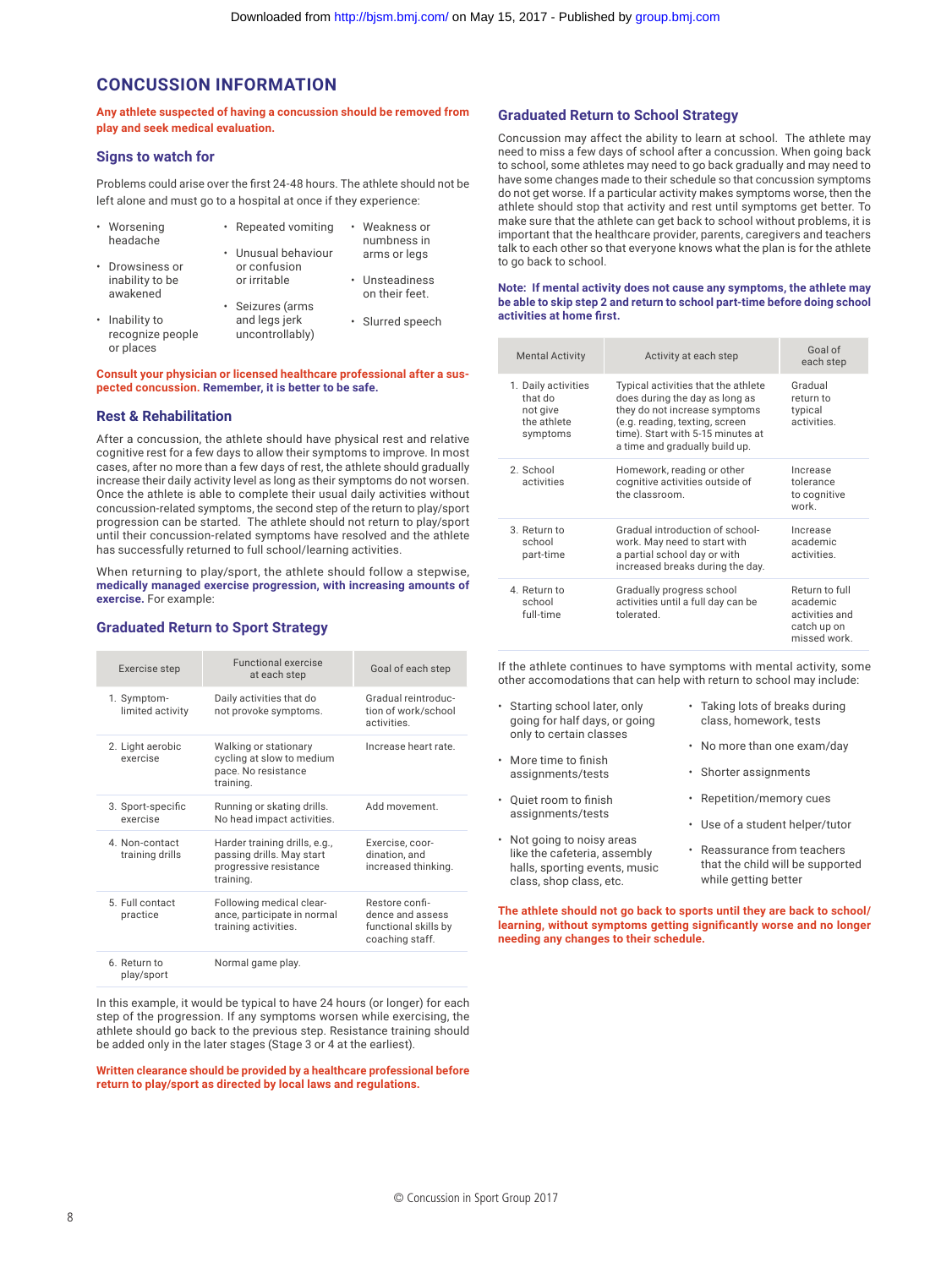## **CONCUSSION INFORMATION**

**Any athlete suspected of having a concussion should be removed from play and seek medical evaluation.**

## **Signs to watch for**

Problems could arise over the first 24-48 hours. The athlete should not be left alone and must go to a hospital at once if they experience:

| • Worsening<br>headache            | • Repeated vomiting              | Weakness or<br>numbness in       |
|------------------------------------|----------------------------------|----------------------------------|
|                                    | • Unusual behaviour              | arms or legs                     |
| Drowsiness or                      | or confusion                     |                                  |
| inability to be<br>awakened        | or irritable                     | • Unsteadiness<br>on their feet. |
|                                    | · Seizures (arms                 |                                  |
| · Inability to<br>recognize people | and legs jerk<br>uncontrollably) | · Slurred speech                 |

**Consult your physician or licensed healthcare professional after a suspected concussion. Remember, it is better to be safe.**

## **Rest & Rehabilitation**

or places

After a concussion, the athlete should have physical rest and relative cognitive rest for a few days to allow their symptoms to improve. In most cases, after no more than a few days of rest, the athlete should gradually increase their daily activity level as long as their symptoms do not worsen. Once the athlete is able to complete their usual daily activities without concussion-related symptoms, the second step of the return to play/sport progression can be started. The athlete should not return to play/sport until their concussion-related symptoms have resolved and the athlete has successfully returned to full school/learning activities.

When returning to play/sport, the athlete should follow a stepwise, **medically managed exercise progression, with increasing amounts of exercise.** For example:

## **Graduated Return to Sport Strategy**

| Exercise step                    | <b>Functional exercise</b><br>at each step                                                        | Goal of each step                                                             |
|----------------------------------|---------------------------------------------------------------------------------------------------|-------------------------------------------------------------------------------|
| 1. Symptom-<br>limited activity  | Daily activities that do<br>not provoke symptoms.                                                 | Gradual reintroduc-<br>tion of work/school<br>activities.                     |
| 2. Light aerobic<br>exercise     | Walking or stationary<br>cycling at slow to medium<br>pace. No resistance<br>training.            | Increase heart rate.                                                          |
| 3. Sport-specific<br>exercise    | Running or skating drills.<br>No head impact activities.                                          | Add movement.                                                                 |
| 4 Non-contact<br>training drills | Harder training drills, e.g.,<br>passing drills. May start<br>progressive resistance<br>training. | Exercise, coor-<br>dination, and<br>increased thinking.                       |
| 5. Full contact<br>practice      | Following medical clear-<br>ance, participate in normal<br>training activities.                   | Restore confi-<br>dence and assess<br>functional skills by<br>coaching staff. |
| 6. Return to<br>play/sport       | Normal game play.                                                                                 |                                                                               |

In this example, it would be typical to have 24 hours (or longer) for each step of the progression. If any symptoms worsen while exercising, the athlete should go back to the previous step. Resistance training should be added only in the later stages (Stage 3 or 4 at the earliest).

**Written clearance should be provided by a healthcare professional before return to play/sport as directed by local laws and regulations.**

## **Graduated Return to School Strategy**

Concussion may affect the ability to learn at school. The athlete may need to miss a few days of school after a concussion. When going back to school, some athletes may need to go back gradually and may need to have some changes made to their schedule so that concussion symptoms do not get worse. If a particular activity makes symptoms worse, then the athlete should stop that activity and rest until symptoms get better. To make sure that the athlete can get back to school without problems, it is important that the healthcare provider, parents, caregivers and teachers talk to each other so that everyone knows what the plan is for the athlete to go back to school.

## **Note: If mental activity does not cause any symptoms, the athlete may be able to skip step 2 and return to school part-time before doing school activities at home first.**

| <b>Mental Activity</b>                                                | Activity at each step                                                                                                                                                                                           | Goal of<br>each step                                                        |
|-----------------------------------------------------------------------|-----------------------------------------------------------------------------------------------------------------------------------------------------------------------------------------------------------------|-----------------------------------------------------------------------------|
| 1. Daily activities<br>that do<br>not give<br>the athlete<br>symptoms | Typical activities that the athlete<br>does during the day as long as<br>they do not increase symptoms<br>(e.g. reading, texting, screen<br>time). Start with 5-15 minutes at<br>a time and gradually build up. | Gradual<br>return to<br>typical<br>activities.                              |
| 2. School<br>activities                                               | Homework, reading or other<br>cognitive activities outside of<br>the classroom.                                                                                                                                 | Increase<br>tolerance<br>to cognitive<br>work                               |
| 3. Return to<br>school<br>part-time                                   | Gradual introduction of school-<br>work. May need to start with<br>a partial school day or with<br>increased breaks during the day.                                                                             | Increase<br>academic<br>activities.                                         |
| 4 Return to<br>school<br>full-time                                    | Gradually progress school<br>activities until a full day can be<br>tolerated.                                                                                                                                   | Return to full<br>academic<br>activities and<br>catch up on<br>missed work. |

If the athlete continues to have symptoms with mental activity, some other accomodations that can help with return to school may include:

- Starting school later, only going for half days, or going only to certain classes • Taking lots of breaks during
- More time to finish assignments/tests
- Quiet room to finish assignments/tests
- Not going to noisy areas like the cafeteria, assembly halls, sporting events, music class, shop class, etc.
- class, homework, tests
- No more than one exam/day
- Shorter assignments
- Repetition/memory cues
- Use of a student helper/tutor
- Reassurance from teachers that the child will be supported while getting better

**The athlete should not go back to sports until they are back to school/ learning, without symptoms getting significantly worse and no longer needing any changes to their schedule.**